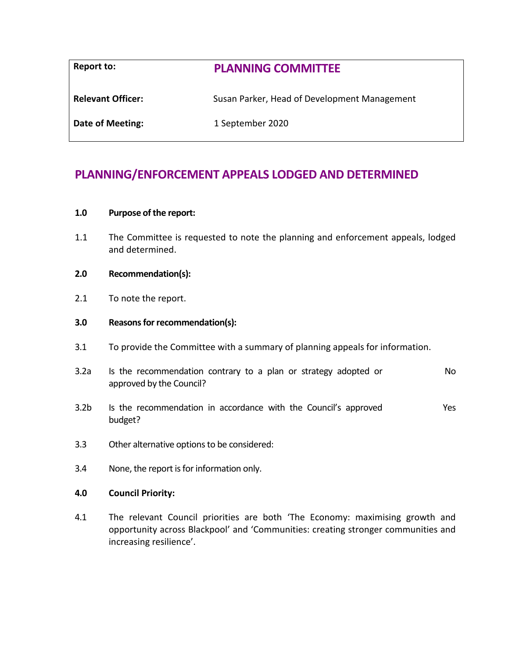| <b>Report to:</b>        | <b>PLANNING COMMITTEE</b>                    |
|--------------------------|----------------------------------------------|
| <b>Relevant Officer:</b> | Susan Parker, Head of Development Management |
| Date of Meeting:         | 1 September 2020                             |

# **PLANNING/ENFORCEMENT APPEALS LODGED AND DETERMINED**

#### **1.0 Purpose of the report:**

1.1 The Committee is requested to note the planning and enforcement appeals, lodged and determined.

# **2.0 Recommendation(s):**

2.1 To note the report.

#### **3.0 Reasons for recommendation(s):**

- 3.1 To provide the Committee with a summary of planning appeals for information.
- 3.2a Is the recommendation contrary to a plan or strategy adopted or approved by the Council? No
- 3.2b Is the recommendation in accordance with the Council's approved budget? Yes
- 3.3 Other alternative options to be considered:
- 3.4 None, the report is for information only.

#### **4.0 Council Priority:**

4.1 The relevant Council priorities are both 'The Economy: maximising growth and opportunity across Blackpool' and 'Communities: creating stronger communities and increasing resilience'.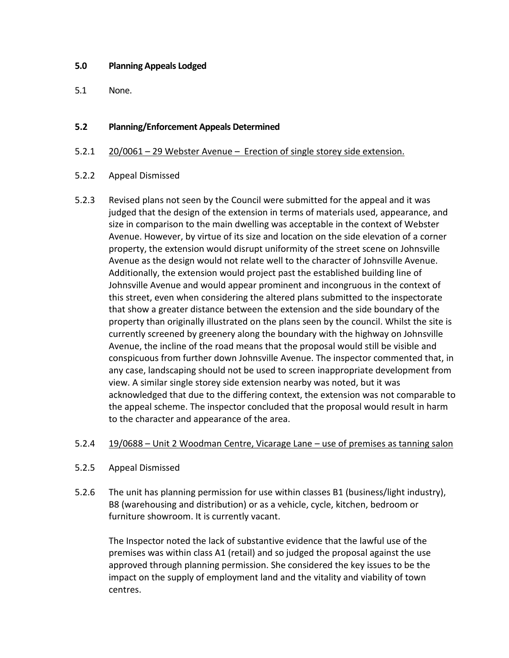# **5.0 Planning Appeals Lodged**

5.1 None.

# **5.2 Planning/Enforcement Appeals Determined**

#### 5.2.1 20/0061 – 29 Webster Avenue – Erection of single storey side extension.

# 5.2.2 Appeal Dismissed

5.2.3 Revised plans not seen by the Council were submitted for the appeal and it was judged that the design of the extension in terms of materials used, appearance, and size in comparison to the main dwelling was acceptable in the context of Webster Avenue. However, by virtue of its size and location on the side elevation of a corner property, the extension would disrupt uniformity of the street scene on Johnsville Avenue as the design would not relate well to the character of Johnsville Avenue. Additionally, the extension would project past the established building line of Johnsville Avenue and would appear prominent and incongruous in the context of this street, even when considering the altered plans submitted to the inspectorate that show a greater distance between the extension and the side boundary of the property than originally illustrated on the plans seen by the council. Whilst the site is currently screened by greenery along the boundary with the highway on Johnsville Avenue, the incline of the road means that the proposal would still be visible and conspicuous from further down Johnsville Avenue. The inspector commented that, in any case, landscaping should not be used to screen inappropriate development from view. A similar single storey side extension nearby was noted, but it was acknowledged that due to the differing context, the extension was not comparable to the appeal scheme. The inspector concluded that the proposal would result in harm to the character and appearance of the area.

# 5.2.4 19/0688 – Unit 2 Woodman Centre, Vicarage Lane – use of premises as tanning salon

- 5.2.5 Appeal Dismissed
- 5.2.6 The unit has planning permission for use within classes B1 (business/light industry), B8 (warehousing and distribution) or as a vehicle, cycle, kitchen, bedroom or furniture showroom. It is currently vacant.

The Inspector noted the lack of substantive evidence that the lawful use of the premises was within class A1 (retail) and so judged the proposal against the use approved through planning permission. She considered the key issues to be the impact on the supply of employment land and the vitality and viability of town centres.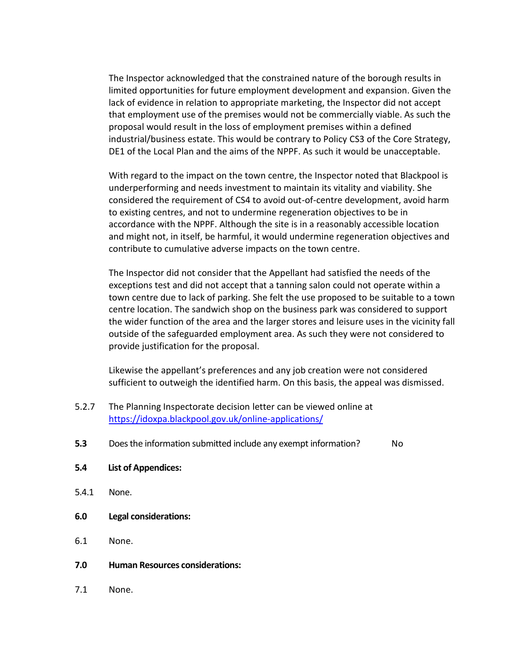The Inspector acknowledged that the constrained nature of the borough results in limited opportunities for future employment development and expansion. Given the lack of evidence in relation to appropriate marketing, the Inspector did not accept that employment use of the premises would not be commercially viable. As such the proposal would result in the loss of employment premises within a defined industrial/business estate. This would be contrary to Policy CS3 of the Core Strategy, DE1 of the Local Plan and the aims of the NPPF. As such it would be unacceptable.

With regard to the impact on the town centre, the Inspector noted that Blackpool is underperforming and needs investment to maintain its vitality and viability. She considered the requirement of CS4 to avoid out-of-centre development, avoid harm to existing centres, and not to undermine regeneration objectives to be in accordance with the NPPF. Although the site is in a reasonably accessible location and might not, in itself, be harmful, it would undermine regeneration objectives and contribute to cumulative adverse impacts on the town centre.

The Inspector did not consider that the Appellant had satisfied the needs of the exceptions test and did not accept that a tanning salon could not operate within a town centre due to lack of parking. She felt the use proposed to be suitable to a town centre location. The sandwich shop on the business park was considered to support the wider function of the area and the larger stores and leisure uses in the vicinity fall outside of the safeguarded employment area. As such they were not considered to provide justification for the proposal.

Likewise the appellant's preferences and any job creation were not considered sufficient to outweigh the identified harm. On this basis, the appeal was dismissed.

- 5.2.7 The Planning Inspectorate decision letter can be viewed online at <https://idoxpa.blackpool.gov.uk/online-applications/>
- **5.3** Does the information submitted include any exempt information? No
- **5.4 List of Appendices:**
- 5.4.1 None.
- **6.0 Legal considerations:**
- 6.1 None.
- **7.0 Human Resources considerations:**
- 7.1 None.